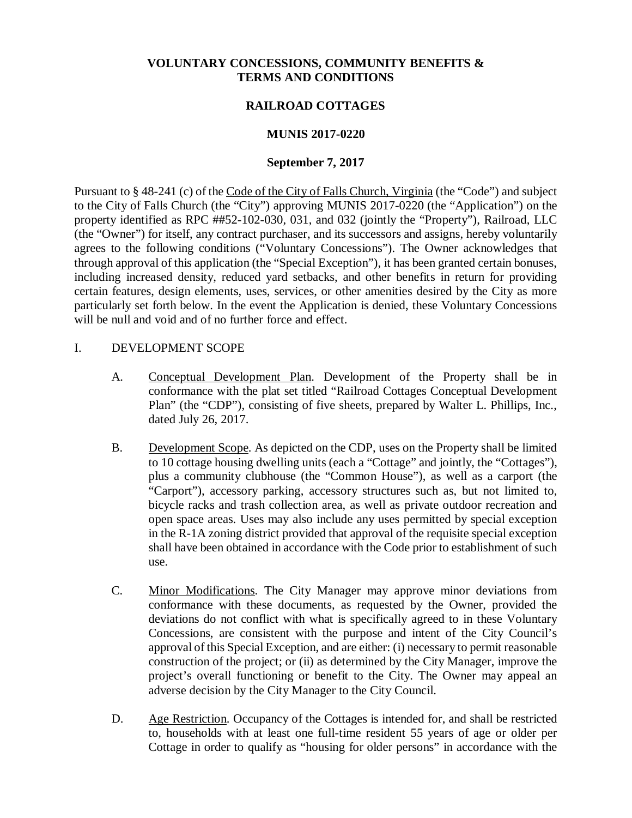### **VOLUNTARY CONCESSIONS, COMMUNITY BENEFITS & TERMS AND CONDITIONS**

### **RAILROAD COTTAGES**

### **MUNIS 2017-0220**

### **September 7, 2017**

Pursuant to § 48-241 (c) of the Code of the City of Falls Church, Virginia (the "Code") and subject to the City of Falls Church (the "City") approving MUNIS 2017-0220 (the "Application") on the property identified as RPC ##52-102-030, 031, and 032 (jointly the "Property"), Railroad, LLC (the "Owner") for itself, any contract purchaser, and its successors and assigns, hereby voluntarily agrees to the following conditions ("Voluntary Concessions"). The Owner acknowledges that through approval of this application (the "Special Exception"), it has been granted certain bonuses, including increased density, reduced yard setbacks, and other benefits in return for providing certain features, design elements, uses, services, or other amenities desired by the City as more particularly set forth below. In the event the Application is denied, these Voluntary Concessions will be null and void and of no further force and effect.

### I. DEVELOPMENT SCOPE

- A. Conceptual Development Plan. Development of the Property shall be in conformance with the plat set titled "Railroad Cottages Conceptual Development Plan" (the "CDP"), consisting of five sheets, prepared by Walter L. Phillips, Inc., dated July 26, 2017.
- B. Development Scope. As depicted on the CDP, uses on the Property shall be limited to 10 cottage housing dwelling units (each a "Cottage" and jointly, the "Cottages"), plus a community clubhouse (the "Common House"), as well as a carport (the "Carport"), accessory parking, accessory structures such as, but not limited to, bicycle racks and trash collection area, as well as private outdoor recreation and open space areas. Uses may also include any uses permitted by special exception in the R-1A zoning district provided that approval of the requisite special exception shall have been obtained in accordance with the Code prior to establishment of such use.
- C. Minor Modifications. The City Manager may approve minor deviations from conformance with these documents, as requested by the Owner, provided the deviations do not conflict with what is specifically agreed to in these Voluntary Concessions, are consistent with the purpose and intent of the City Council's approval of this Special Exception, and are either: (i) necessary to permit reasonable construction of the project; or (ii) as determined by the City Manager, improve the project's overall functioning or benefit to the City. The Owner may appeal an adverse decision by the City Manager to the City Council.
- D. Age Restriction. Occupancy of the Cottages is intended for, and shall be restricted to, households with at least one full-time resident 55 years of age or older per Cottage in order to qualify as "housing for older persons" in accordance with the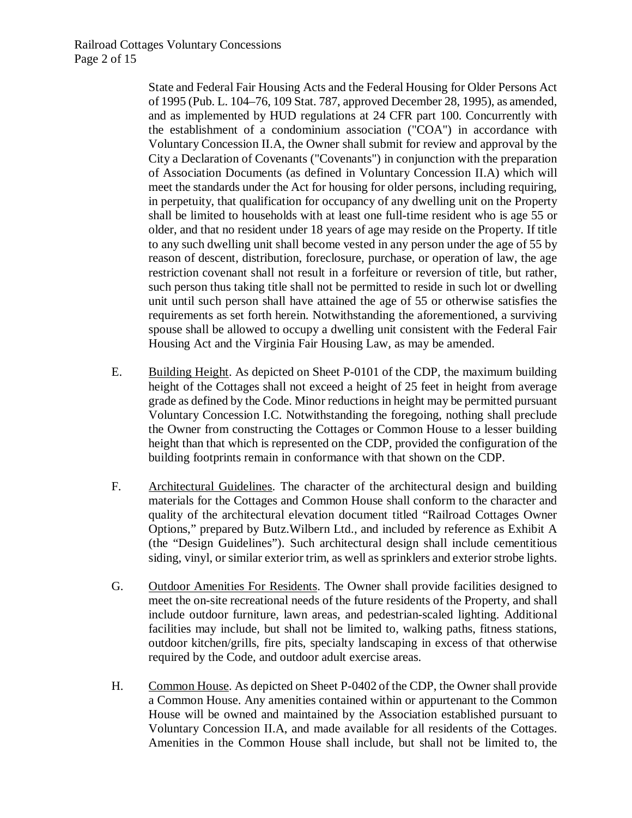State and Federal Fair Housing Acts and the Federal Housing for Older Persons Act of 1995 (Pub. L. 104–76, 109 Stat. 787, approved December 28, 1995), as amended, and as implemented by HUD regulations at 24 CFR part 100. Concurrently with the establishment of a condominium association ("COA") in accordance with Voluntary Concession II.A, the Owner shall submit for review and approval by the City a Declaration of Covenants ("Covenants") in conjunction with the preparation of Association Documents (as defined in Voluntary Concession II.A) which will meet the standards under the Act for housing for older persons, including requiring, in perpetuity, that qualification for occupancy of any dwelling unit on the Property shall be limited to households with at least one full-time resident who is age 55 or older, and that no resident under 18 years of age may reside on the Property. If title to any such dwelling unit shall become vested in any person under the age of 55 by reason of descent, distribution, foreclosure, purchase, or operation of law, the age restriction covenant shall not result in a forfeiture or reversion of title, but rather, such person thus taking title shall not be permitted to reside in such lot or dwelling unit until such person shall have attained the age of 55 or otherwise satisfies the requirements as set forth herein. Notwithstanding the aforementioned, a surviving spouse shall be allowed to occupy a dwelling unit consistent with the Federal Fair Housing Act and the Virginia Fair Housing Law, as may be amended.

- E. Building Height. As depicted on Sheet P-0101 of the CDP, the maximum building height of the Cottages shall not exceed a height of 25 feet in height from average grade as defined by the Code. Minor reductions in height may be permitted pursuant Voluntary Concession I.C. Notwithstanding the foregoing, nothing shall preclude the Owner from constructing the Cottages or Common House to a lesser building height than that which is represented on the CDP, provided the configuration of the building footprints remain in conformance with that shown on the CDP.
- F. Architectural Guidelines. The character of the architectural design and building materials for the Cottages and Common House shall conform to the character and quality of the architectural elevation document titled "Railroad Cottages Owner Options," prepared by Butz.Wilbern Ltd., and included by reference as Exhibit A (the "Design Guidelines"). Such architectural design shall include cementitious siding, vinyl, or similar exterior trim, as well as sprinklers and exterior strobe lights.
- G. Outdoor Amenities For Residents. The Owner shall provide facilities designed to meet the on-site recreational needs of the future residents of the Property, and shall include outdoor furniture, lawn areas, and pedestrian-scaled lighting. Additional facilities may include, but shall not be limited to, walking paths, fitness stations, outdoor kitchen/grills, fire pits, specialty landscaping in excess of that otherwise required by the Code, and outdoor adult exercise areas.
- H. Common House. As depicted on Sheet P-0402 of the CDP, the Owner shall provide a Common House. Any amenities contained within or appurtenant to the Common House will be owned and maintained by the Association established pursuant to Voluntary Concession II.A, and made available for all residents of the Cottages. Amenities in the Common House shall include, but shall not be limited to, the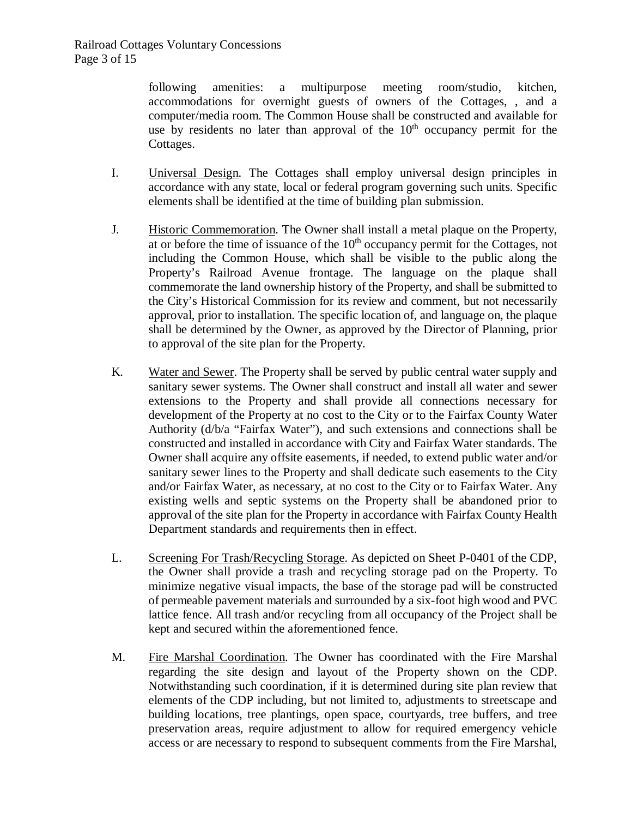following amenities: a multipurpose meeting room/studio, kitchen, accommodations for overnight guests of owners of the Cottages, , and a computer/media room. The Common House shall be constructed and available for use by residents no later than approval of the  $10<sup>th</sup>$  occupancy permit for the Cottages.

- I. Universal Design. The Cottages shall employ universal design principles in accordance with any state, local or federal program governing such units. Specific elements shall be identified at the time of building plan submission.
- J. Historic Commemoration. The Owner shall install a metal plaque on the Property, at or before the time of issuance of the  $10<sup>th</sup>$  occupancy permit for the Cottages, not including the Common House, which shall be visible to the public along the Property's Railroad Avenue frontage. The language on the plaque shall commemorate the land ownership history of the Property, and shall be submitted to the City's Historical Commission for its review and comment, but not necessarily approval, prior to installation. The specific location of, and language on, the plaque shall be determined by the Owner, as approved by the Director of Planning, prior to approval of the site plan for the Property.
- K. Water and Sewer. The Property shall be served by public central water supply and sanitary sewer systems. The Owner shall construct and install all water and sewer extensions to the Property and shall provide all connections necessary for development of the Property at no cost to the City or to the Fairfax County Water Authority (d/b/a "Fairfax Water"), and such extensions and connections shall be constructed and installed in accordance with City and Fairfax Water standards. The Owner shall acquire any offsite easements, if needed, to extend public water and/or sanitary sewer lines to the Property and shall dedicate such easements to the City and/or Fairfax Water, as necessary, at no cost to the City or to Fairfax Water. Any existing wells and septic systems on the Property shall be abandoned prior to approval of the site plan for the Property in accordance with Fairfax County Health Department standards and requirements then in effect.
- L. Screening For Trash/Recycling Storage. As depicted on Sheet P-0401 of the CDP, the Owner shall provide a trash and recycling storage pad on the Property. To minimize negative visual impacts, the base of the storage pad will be constructed of permeable pavement materials and surrounded by a six-foot high wood and PVC lattice fence. All trash and/or recycling from all occupancy of the Project shall be kept and secured within the aforementioned fence.
- M. Fire Marshal Coordination. The Owner has coordinated with the Fire Marshal regarding the site design and layout of the Property shown on the CDP. Notwithstanding such coordination, if it is determined during site plan review that elements of the CDP including, but not limited to, adjustments to streetscape and building locations, tree plantings, open space, courtyards, tree buffers, and tree preservation areas, require adjustment to allow for required emergency vehicle access or are necessary to respond to subsequent comments from the Fire Marshal,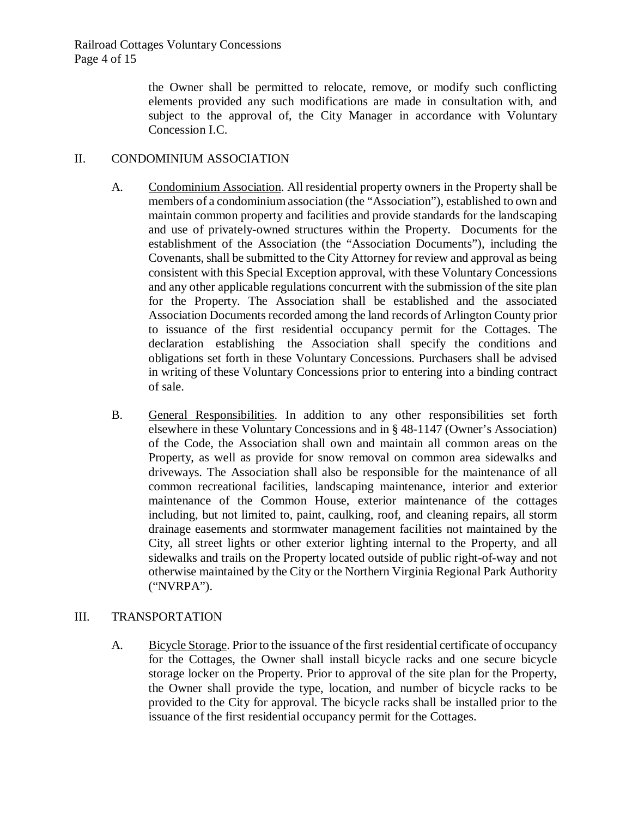the Owner shall be permitted to relocate, remove, or modify such conflicting elements provided any such modifications are made in consultation with, and subject to the approval of, the City Manager in accordance with Voluntary Concession I.C.

### II. CONDOMINIUM ASSOCIATION

- A. Condominium Association. All residential property owners in the Property shall be members of a condominium association (the "Association"), established to own and maintain common property and facilities and provide standards for the landscaping and use of privately-owned structures within the Property. Documents for the establishment of the Association (the "Association Documents"), including the Covenants, shall be submitted to the City Attorney for review and approval as being consistent with this Special Exception approval, with these Voluntary Concessions and any other applicable regulations concurrent with the submission of the site plan for the Property. The Association shall be established and the associated Association Documents recorded among the land records of Arlington County prior to issuance of the first residential occupancy permit for the Cottages. The declaration establishing the Association shall specify the conditions and obligations set forth in these Voluntary Concessions. Purchasers shall be advised in writing of these Voluntary Concessions prior to entering into a binding contract of sale.
- B. General Responsibilities. In addition to any other responsibilities set forth elsewhere in these Voluntary Concessions and in § 48-1147 (Owner's Association) of the Code, the Association shall own and maintain all common areas on the Property, as well as provide for snow removal on common area sidewalks and driveways. The Association shall also be responsible for the maintenance of all common recreational facilities, landscaping maintenance, interior and exterior maintenance of the Common House, exterior maintenance of the cottages including, but not limited to, paint, caulking, roof, and cleaning repairs, all storm drainage easements and stormwater management facilities not maintained by the City, all street lights or other exterior lighting internal to the Property, and all sidewalks and trails on the Property located outside of public right-of-way and not otherwise maintained by the City or the Northern Virginia Regional Park Authority ("NVRPA").

### III. TRANSPORTATION

A. Bicycle Storage. Prior to the issuance of the first residential certificate of occupancy for the Cottages, the Owner shall install bicycle racks and one secure bicycle storage locker on the Property. Prior to approval of the site plan for the Property, the Owner shall provide the type, location, and number of bicycle racks to be provided to the City for approval. The bicycle racks shall be installed prior to the issuance of the first residential occupancy permit for the Cottages.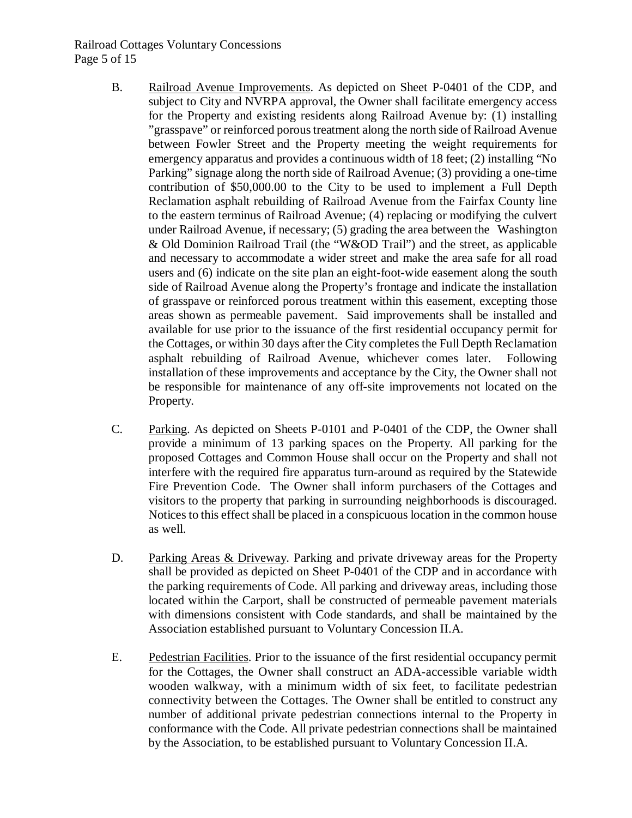### Railroad Cottages Voluntary Concessions Page 5 of 15

- B. Railroad Avenue Improvements. As depicted on Sheet P-0401 of the CDP, and subject to City and NVRPA approval, the Owner shall facilitate emergency access for the Property and existing residents along Railroad Avenue by: (1) installing "grasspave" or reinforced poroustreatment along the north side of Railroad Avenue between Fowler Street and the Property meeting the weight requirements for emergency apparatus and provides a continuous width of 18 feet; (2) installing "No Parking" signage along the north side of Railroad Avenue; (3) providing a one-time contribution of \$50,000.00 to the City to be used to implement a Full Depth Reclamation asphalt rebuilding of Railroad Avenue from the Fairfax County line to the eastern terminus of Railroad Avenue; (4) replacing or modifying the culvert under Railroad Avenue, if necessary; (5) grading the area between the Washington & Old Dominion Railroad Trail (the "W&OD Trail") and the street, as applicable and necessary to accommodate a wider street and make the area safe for all road users and (6) indicate on the site plan an eight-foot-wide easement along the south side of Railroad Avenue along the Property's frontage and indicate the installation of grasspave or reinforced porous treatment within this easement, excepting those areas shown as permeable pavement. Said improvements shall be installed and available for use prior to the issuance of the first residential occupancy permit for the Cottages, or within 30 days after the City completes the Full Depth Reclamation asphalt rebuilding of Railroad Avenue, whichever comes later. Following installation of these improvements and acceptance by the City, the Owner shall not be responsible for maintenance of any off-site improvements not located on the Property.
- C. Parking. As depicted on Sheets P-0101 and P-0401 of the CDP, the Owner shall provide a minimum of 13 parking spaces on the Property. All parking for the proposed Cottages and Common House shall occur on the Property and shall not interfere with the required fire apparatus turn-around as required by the Statewide Fire Prevention Code. The Owner shall inform purchasers of the Cottages and visitors to the property that parking in surrounding neighborhoods is discouraged. Notices to this effect shall be placed in a conspicuous location in the common house as well.
- D. Parking Areas & Driveway. Parking and private driveway areas for the Property shall be provided as depicted on Sheet P-0401 of the CDP and in accordance with the parking requirements of Code. All parking and driveway areas, including those located within the Carport, shall be constructed of permeable pavement materials with dimensions consistent with Code standards, and shall be maintained by the Association established pursuant to Voluntary Concession II.A.
- E. Pedestrian Facilities. Prior to the issuance of the first residential occupancy permit for the Cottages, the Owner shall construct an ADA-accessible variable width wooden walkway, with a minimum width of six feet, to facilitate pedestrian connectivity between the Cottages. The Owner shall be entitled to construct any number of additional private pedestrian connections internal to the Property in conformance with the Code. All private pedestrian connections shall be maintained by the Association, to be established pursuant to Voluntary Concession II.A.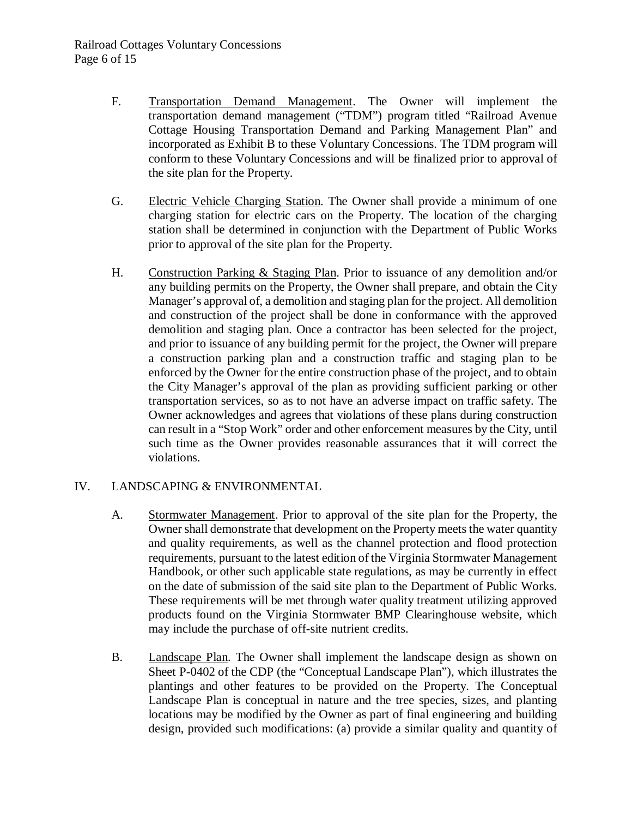- F. Transportation Demand Management. The Owner will implement the transportation demand management ("TDM") program titled "Railroad Avenue Cottage Housing Transportation Demand and Parking Management Plan" and incorporated as Exhibit B to these Voluntary Concessions. The TDM program will conform to these Voluntary Concessions and will be finalized prior to approval of the site plan for the Property.
- G. Electric Vehicle Charging Station. The Owner shall provide a minimum of one charging station for electric cars on the Property. The location of the charging station shall be determined in conjunction with the Department of Public Works prior to approval of the site plan for the Property.
- H. Construction Parking & Staging Plan. Prior to issuance of any demolition and/or any building permits on the Property, the Owner shall prepare, and obtain the City Manager's approval of, a demolition and staging plan for the project. All demolition and construction of the project shall be done in conformance with the approved demolition and staging plan. Once a contractor has been selected for the project, and prior to issuance of any building permit for the project, the Owner will prepare a construction parking plan and a construction traffic and staging plan to be enforced by the Owner for the entire construction phase of the project, and to obtain the City Manager's approval of the plan as providing sufficient parking or other transportation services, so as to not have an adverse impact on traffic safety. The Owner acknowledges and agrees that violations of these plans during construction can result in a "Stop Work" order and other enforcement measures by the City, until such time as the Owner provides reasonable assurances that it will correct the violations.

### IV. LANDSCAPING & ENVIRONMENTAL

- A. Stormwater Management. Prior to approval of the site plan for the Property, the Owner shall demonstrate that development on the Property meets the water quantity and quality requirements, as well as the channel protection and flood protection requirements, pursuant to the latest edition of the Virginia Stormwater Management Handbook, or other such applicable state regulations, as may be currently in effect on the date of submission of the said site plan to the Department of Public Works. These requirements will be met through water quality treatment utilizing approved products found on the Virginia Stormwater BMP Clearinghouse website, which may include the purchase of off-site nutrient credits.
- B. Landscape Plan. The Owner shall implement the landscape design as shown on Sheet P-0402 of the CDP (the "Conceptual Landscape Plan"), which illustrates the plantings and other features to be provided on the Property. The Conceptual Landscape Plan is conceptual in nature and the tree species, sizes, and planting locations may be modified by the Owner as part of final engineering and building design, provided such modifications: (a) provide a similar quality and quantity of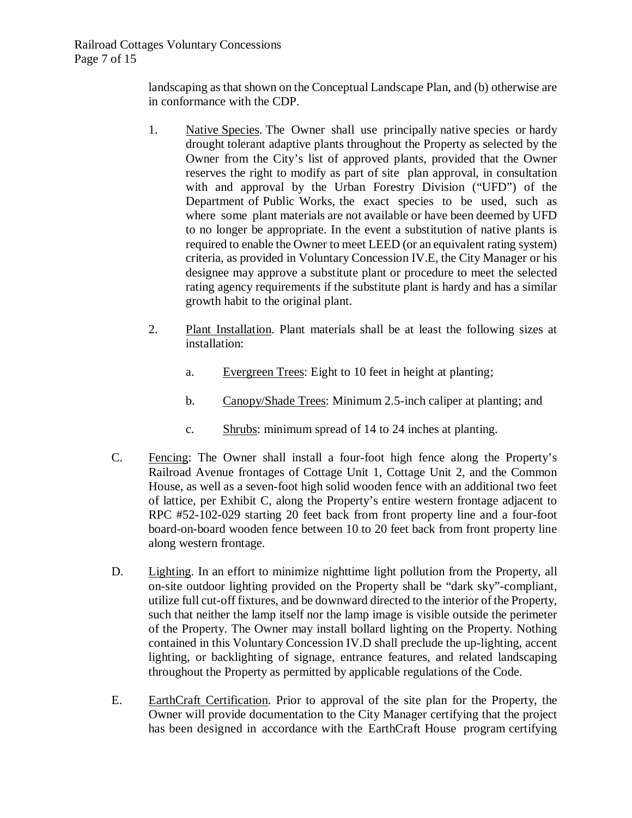landscaping as that shown on the Conceptual Landscape Plan, and (b) otherwise are in conformance with the CDP.

- 1. Native Species. The Owner shall use principally native species or hardy drought tolerant adaptive plants throughout the Property as selected by the Owner from the City's list of approved plants, provided that the Owner reserves the right to modify as part of site plan approval, in consultation with and approval by the Urban Forestry Division ("UFD") of the Department of Public Works, the exact species to be used, such as where some plant materials are not available or have been deemed by UFD to no longer be appropriate. In the event a substitution of native plants is required to enable the Owner to meet LEED (or an equivalent rating system) criteria, as provided in Voluntary Concession IV.E, the City Manager or his designee may approve a substitute plant or procedure to meet the selected rating agency requirements if the substitute plant is hardy and has a similar growth habit to the original plant.
- 2. Plant Installation. Plant materials shall be at least the following sizes at installation:
	- a. Evergreen Trees: Eight to 10 feet in height at planting;
	- b. Canopy/Shade Trees: Minimum 2.5-inch caliper at planting; and
	- c. Shrubs: minimum spread of 14 to 24 inches at planting.
- C. Fencing: The Owner shall install a four-foot high fence along the Property's Railroad Avenue frontages of Cottage Unit 1, Cottage Unit 2, and the Common House, as well as a seven-foot high solid wooden fence with an additional two feet of lattice, per Exhibit C, along the Property's entire western frontage adjacent to RPC #52-102-029 starting 20 feet back from front property line and a four-foot board-on-board wooden fence between 10 to 20 feet back from front property line along western frontage.
- D. Lighting. In an effort to minimize nighttime light pollution from the Property, all on-site outdoor lighting provided on the Property shall be "dark sky"-compliant, utilize full cut-off fixtures, and be downward directed to the interior of the Property, such that neither the lamp itself nor the lamp image is visible outside the perimeter of the Property. The Owner may install bollard lighting on the Property. Nothing contained in this Voluntary Concession IV.D shall preclude the up-lighting, accent lighting, or backlighting of signage, entrance features, and related landscaping throughout the Property as permitted by applicable regulations of the Code.
- E. EarthCraft Certification. Prior to approval of the site plan for the Property, the Owner will provide documentation to the City Manager certifying that the project has been designed in accordance with the EarthCraft House program certifying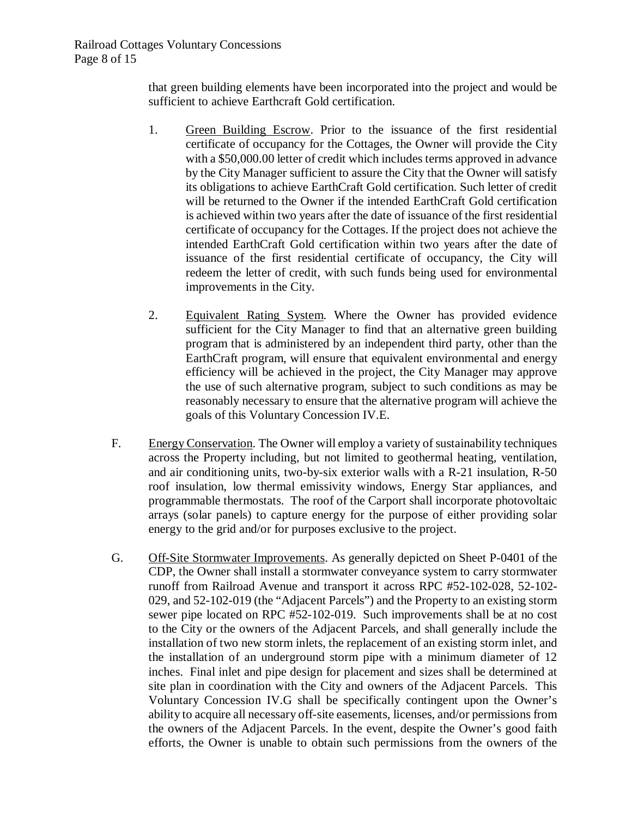that green building elements have been incorporated into the project and would be sufficient to achieve Earthcraft Gold certification.

- 1. Green Building Escrow. Prior to the issuance of the first residential certificate of occupancy for the Cottages, the Owner will provide the City with a \$50,000.00 letter of credit which includes terms approved in advance by the City Manager sufficient to assure the City that the Owner will satisfy its obligations to achieve EarthCraft Gold certification. Such letter of credit will be returned to the Owner if the intended EarthCraft Gold certification is achieved within two years after the date of issuance of the first residential certificate of occupancy for the Cottages. If the project does not achieve the intended EarthCraft Gold certification within two years after the date of issuance of the first residential certificate of occupancy, the City will redeem the letter of credit, with such funds being used for environmental improvements in the City.
- 2. Equivalent Rating System. Where the Owner has provided evidence sufficient for the City Manager to find that an alternative green building program that is administered by an independent third party, other than the EarthCraft program, will ensure that equivalent environmental and energy efficiency will be achieved in the project, the City Manager may approve the use of such alternative program, subject to such conditions as may be reasonably necessary to ensure that the alternative program will achieve the goals of this Voluntary Concession IV.E.
- F. Energy Conservation. The Owner will employ a variety of sustainability techniques across the Property including, but not limited to geothermal heating, ventilation, and air conditioning units, two-by-six exterior walls with a R-21 insulation, R-50 roof insulation, low thermal emissivity windows, Energy Star appliances, and programmable thermostats. The roof of the Carport shall incorporate photovoltaic arrays (solar panels) to capture energy for the purpose of either providing solar energy to the grid and/or for purposes exclusive to the project.
- G. Off-Site Stormwater Improvements. As generally depicted on Sheet P-0401 of the CDP, the Owner shall install a stormwater conveyance system to carry stormwater runoff from Railroad Avenue and transport it across RPC #52-102-028, 52-102- 029, and 52-102-019 (the "Adjacent Parcels") and the Property to an existing storm sewer pipe located on RPC #52-102-019. Such improvements shall be at no cost to the City or the owners of the Adjacent Parcels, and shall generally include the installation of two new storm inlets, the replacement of an existing storm inlet, and the installation of an underground storm pipe with a minimum diameter of 12 inches. Final inlet and pipe design for placement and sizes shall be determined at site plan in coordination with the City and owners of the Adjacent Parcels. This Voluntary Concession IV.G shall be specifically contingent upon the Owner's ability to acquire all necessary off-site easements, licenses, and/or permissions from the owners of the Adjacent Parcels. In the event, despite the Owner's good faith efforts, the Owner is unable to obtain such permissions from the owners of the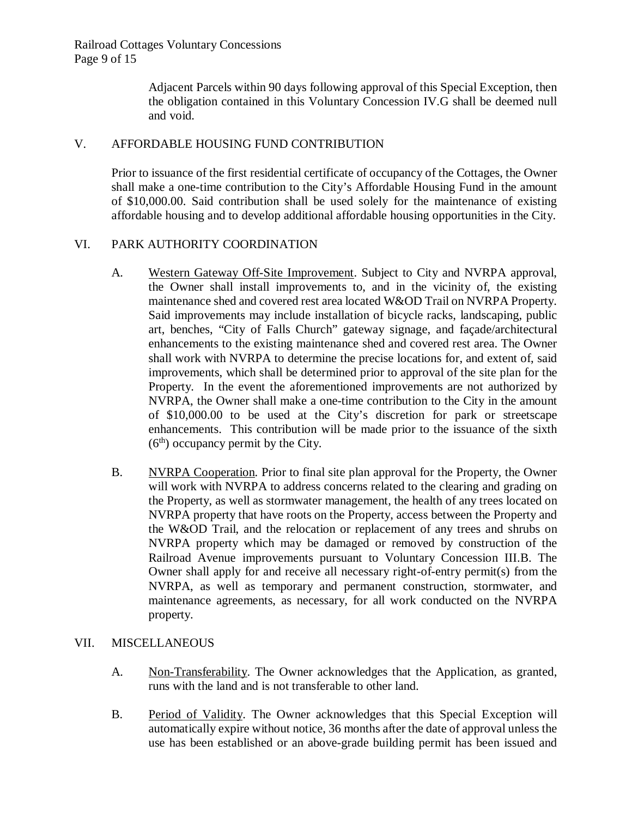Adjacent Parcels within 90 days following approval of this Special Exception, then the obligation contained in this Voluntary Concession IV.G shall be deemed null and void.

### V. AFFORDABLE HOUSING FUND CONTRIBUTION

Prior to issuance of the first residential certificate of occupancy of the Cottages, the Owner shall make a one-time contribution to the City's Affordable Housing Fund in the amount of \$10,000.00. Said contribution shall be used solely for the maintenance of existing affordable housing and to develop additional affordable housing opportunities in the City.

### VI. PARK AUTHORITY COORDINATION

- A. Western Gateway Off-Site Improvement. Subject to City and NVRPA approval, the Owner shall install improvements to, and in the vicinity of, the existing maintenance shed and covered rest area located W&OD Trail on NVRPA Property. Said improvements may include installation of bicycle racks, landscaping, public art, benches, "City of Falls Church" gateway signage, and façade/architectural enhancements to the existing maintenance shed and covered rest area. The Owner shall work with NVRPA to determine the precise locations for, and extent of, said improvements, which shall be determined prior to approval of the site plan for the Property. In the event the aforementioned improvements are not authorized by NVRPA, the Owner shall make a one-time contribution to the City in the amount of \$10,000.00 to be used at the City's discretion for park or streetscape enhancements. This contribution will be made prior to the issuance of the sixth  $(6<sup>th</sup>)$  occupancy permit by the City.
- B. NVRPA Cooperation. Prior to final site plan approval for the Property, the Owner will work with NVRPA to address concerns related to the clearing and grading on the Property, as well as stormwater management, the health of any trees located on NVRPA property that have roots on the Property, access between the Property and the W&OD Trail, and the relocation or replacement of any trees and shrubs on NVRPA property which may be damaged or removed by construction of the Railroad Avenue improvements pursuant to Voluntary Concession III.B. The Owner shall apply for and receive all necessary right-of-entry permit(s) from the NVRPA, as well as temporary and permanent construction, stormwater, and maintenance agreements, as necessary, for all work conducted on the NVRPA property.

### VII. MISCELLANEOUS

- A. Non-Transferability. The Owner acknowledges that the Application, as granted, runs with the land and is not transferable to other land.
- B. Period of Validity. The Owner acknowledges that this Special Exception will automatically expire without notice, 36 months after the date of approval unless the use has been established or an above-grade building permit has been issued and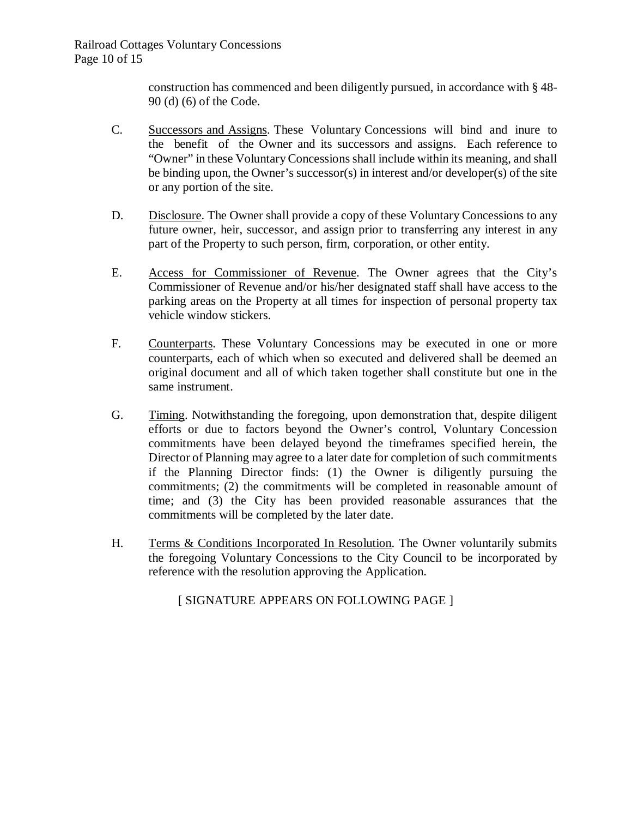construction has commenced and been diligently pursued, in accordance with § 48- 90 (d) (6) of the Code.

- C. Successors and Assigns. These Voluntary Concessions will bind and inure to the benefit of the Owner and its successors and assigns. Each reference to "Owner" in these Voluntary Concessionsshall include within its meaning, and shall be binding upon, the Owner's successor(s) in interest and/or developer(s) of the site or any portion of the site.
- D. Disclosure. The Owner shall provide a copy of these Voluntary Concessions to any future owner, heir, successor, and assign prior to transferring any interest in any part of the Property to such person, firm, corporation, or other entity.
- E. Access for Commissioner of Revenue. The Owner agrees that the City's Commissioner of Revenue and/or his/her designated staff shall have access to the parking areas on the Property at all times for inspection of personal property tax vehicle window stickers.
- F. Counterparts. These Voluntary Concessions may be executed in one or more counterparts, each of which when so executed and delivered shall be deemed an original document and all of which taken together shall constitute but one in the same instrument.
- G. Timing. Notwithstanding the foregoing, upon demonstration that, despite diligent efforts or due to factors beyond the Owner's control, Voluntary Concession commitments have been delayed beyond the timeframes specified herein, the Director of Planning may agree to a later date for completion of such commitments if the Planning Director finds: (1) the Owner is diligently pursuing the commitments; (2) the commitments will be completed in reasonable amount of time; and (3) the City has been provided reasonable assurances that the commitments will be completed by the later date.
- H. Terms & Conditions Incorporated In Resolution. The Owner voluntarily submits the foregoing Voluntary Concessions to the City Council to be incorporated by reference with the resolution approving the Application.

[ SIGNATURE APPEARS ON FOLLOWING PAGE ]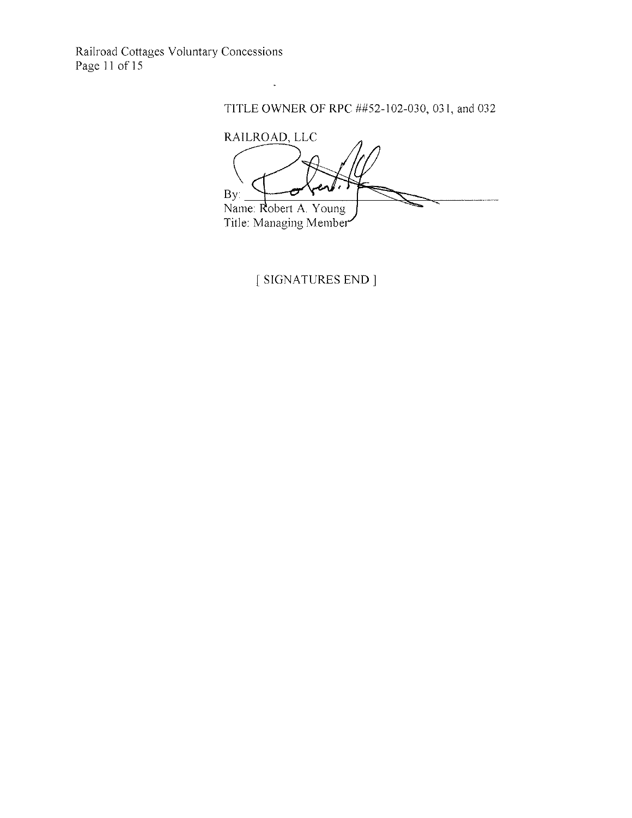Railroad Cottages Voluntary Concessions Page 11 of 15

### TITLE OWNER OF RPC ##52-102-030, 031, and 032

RAILROAD, LLC  $By:$ Name: Robert A. Young<br>Title: Managing Member

[ SIGNATURES END ]

 $\ddot{\phantom{1}}$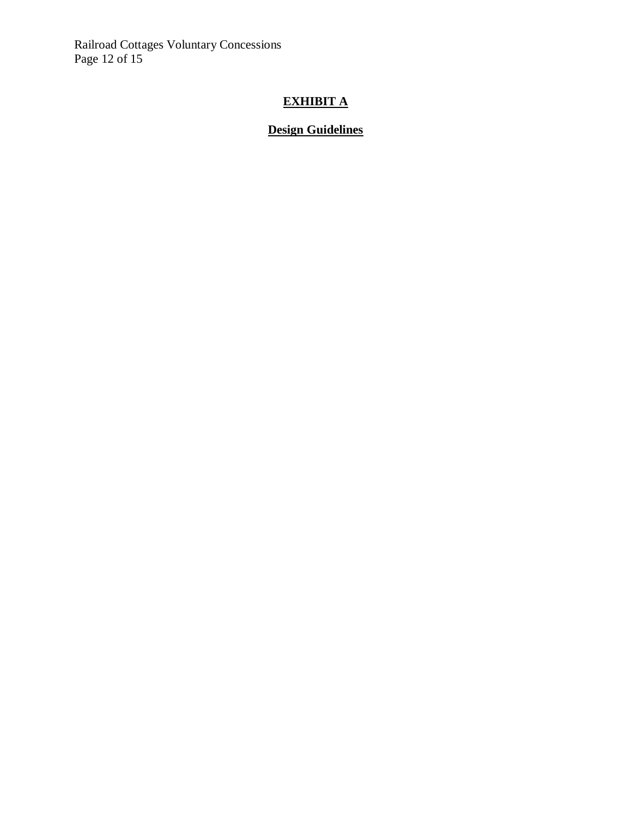Railroad Cottages Voluntary Concessions Page 12 of 15

# **EXHIBIT A**

### **Design Guidelines**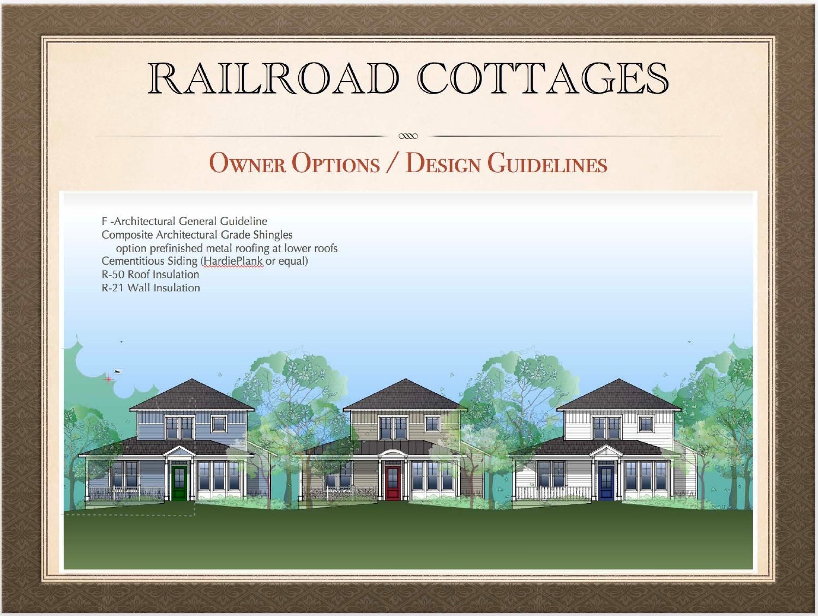# RAILROAD COTTAGES

# **OWNER OPTIONS / DESIGN GUIDELINES**

 $\infty$ 

F-Architectural General Guideline **Composite Architectural Grade Shingles** option prefinished metal roofing at lower roofs Cementitious Siding (HardiePlank or equal) R-50 Roof Insulation R-21 Wall Insulation

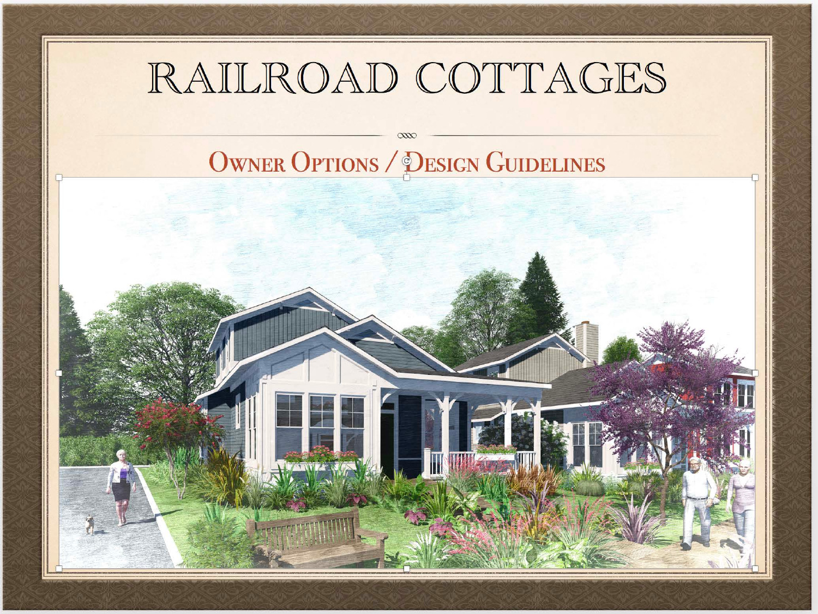# RAILROAD COTTAGES

**OWNER OPTIONS / DESIGN GUIDELINES** 

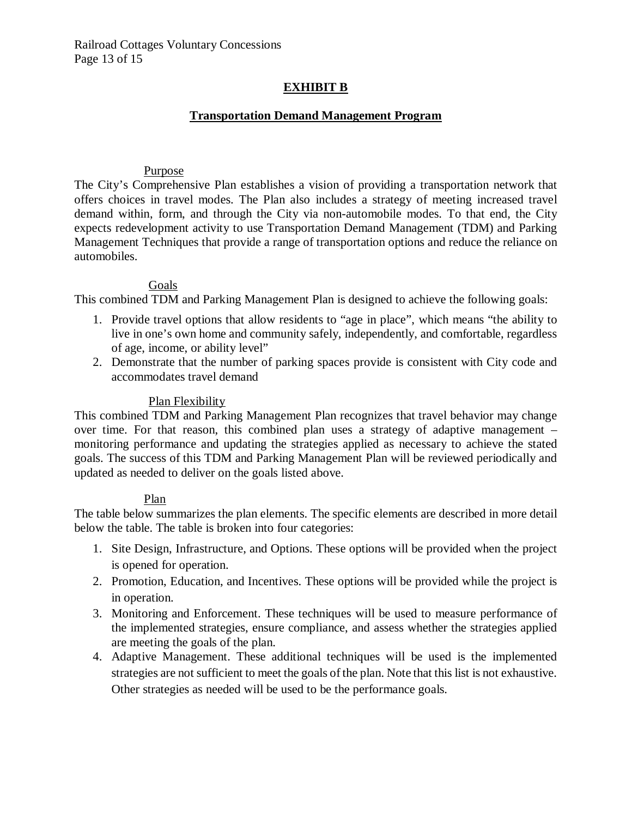### **EXHIBIT B**

### **Transportation Demand Management Program**

#### Purpose

The City's Comprehensive Plan establishes a vision of providing a transportation network that offers choices in travel modes. The Plan also includes a strategy of meeting increased travel demand within, form, and through the City via non-automobile modes. To that end, the City expects redevelopment activity to use Transportation Demand Management (TDM) and Parking Management Techniques that provide a range of transportation options and reduce the reliance on automobiles.

### Goals

This combined TDM and Parking Management Plan is designed to achieve the following goals:

- 1. Provide travel options that allow residents to "age in place", which means "the ability to live in one's own home and community safely, independently, and comfortable, regardless of age, income, or ability level"
- 2. Demonstrate that the number of parking spaces provide is consistent with City code and accommodates travel demand

### Plan Flexibility

This combined TDM and Parking Management Plan recognizes that travel behavior may change over time. For that reason, this combined plan uses a strategy of adaptive management – monitoring performance and updating the strategies applied as necessary to achieve the stated goals. The success of this TDM and Parking Management Plan will be reviewed periodically and updated as needed to deliver on the goals listed above.

#### Plan

The table below summarizes the plan elements. The specific elements are described in more detail below the table. The table is broken into four categories:

- 1. Site Design, Infrastructure, and Options. These options will be provided when the project is opened for operation.
- 2. Promotion, Education, and Incentives. These options will be provided while the project is in operation.
- 3. Monitoring and Enforcement. These techniques will be used to measure performance of the implemented strategies, ensure compliance, and assess whether the strategies applied are meeting the goals of the plan.
- 4. Adaptive Management. These additional techniques will be used is the implemented strategies are not sufficient to meet the goals of the plan. Note that this list is not exhaustive. Other strategies as needed will be used to be the performance goals.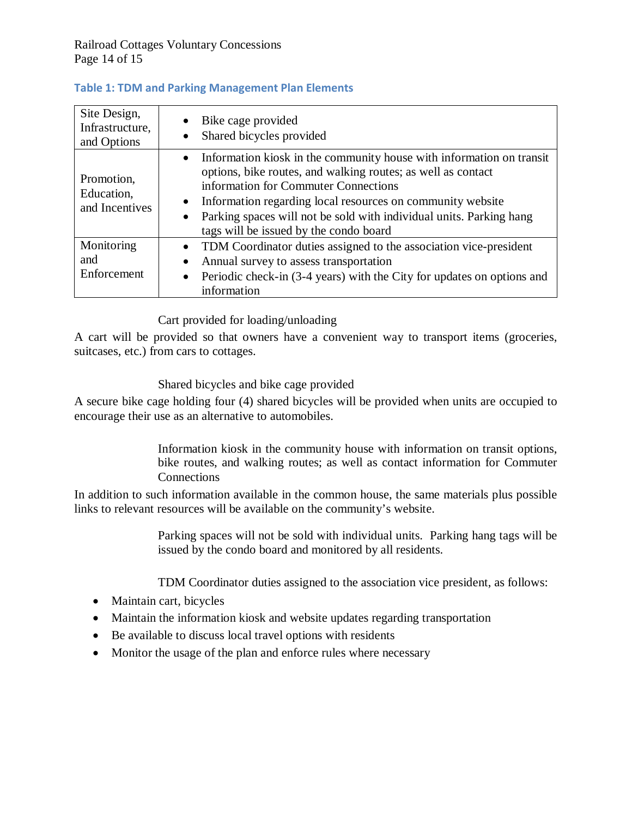| Site Design,<br>Infrastructure,<br>and Options | Bike cage provided<br>$\bullet$<br>Shared bicycles provided<br>$\bullet$                                                                                                                                                                                                                                                                                                                |
|------------------------------------------------|-----------------------------------------------------------------------------------------------------------------------------------------------------------------------------------------------------------------------------------------------------------------------------------------------------------------------------------------------------------------------------------------|
| Promotion,<br>Education,<br>and Incentives     | • Information kiosk in the community house with information on transit<br>options, bike routes, and walking routes; as well as contact<br>information for Commuter Connections<br>Information regarding local resources on community website<br>$\bullet$<br>Parking spaces will not be sold with individual units. Parking hang<br>$\bullet$<br>tags will be issued by the condo board |
| Monitoring<br>and<br>Enforcement               | TDM Coordinator duties assigned to the association vice-president<br>$\bullet$<br>Annual survey to assess transportation<br>$\bullet$<br>Periodic check-in (3-4 years) with the City for updates on options and<br>$\bullet$<br>information                                                                                                                                             |

### **Table 1: TDM and Parking Management Plan Elements**

### Cart provided for loading/unloading

A cart will be provided so that owners have a convenient way to transport items (groceries, suitcases, etc.) from cars to cottages.

### Shared bicycles and bike cage provided

A secure bike cage holding four (4) shared bicycles will be provided when units are occupied to encourage their use as an alternative to automobiles.

> Information kiosk in the community house with information on transit options, bike routes, and walking routes; as well as contact information for Commuter **Connections**

In addition to such information available in the common house, the same materials plus possible links to relevant resources will be available on the community's website.

> Parking spaces will not be sold with individual units. Parking hang tags will be issued by the condo board and monitored by all residents.

TDM Coordinator duties assigned to the association vice president, as follows:

- Maintain cart, bicycles
- Maintain the information kiosk and website updates regarding transportation
- Be available to discuss local travel options with residents
- Monitor the usage of the plan and enforce rules where necessary